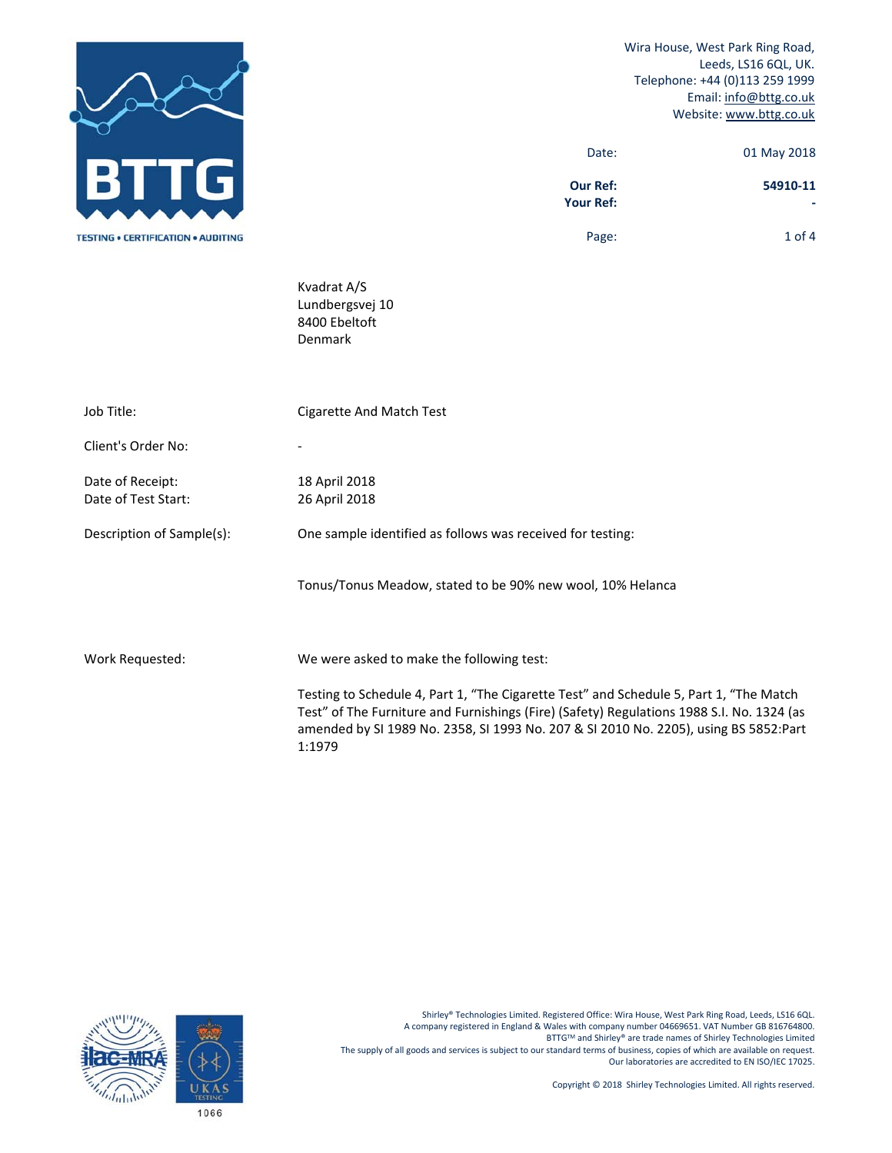

 Wira House, West Park Ring Road, Leeds, LS16 6QL, UK. Telephone: +44 (0)113 259 1999 Email: info@bttg.co.uk Website: www.bttg.co.uk

| Date:           | 01 May 2018 |
|-----------------|-------------|
| <b>Our Ref:</b> | 54910-11    |

**Your Ref: ‐** 

Page: 1 of 4

 Kvadrat A/S Lundbergsvej 10 8400 Ebeltoft Denmark

| Job Title:                              | Cigarette And Match Test                                                                                                                                                                                                                                                              |
|-----------------------------------------|---------------------------------------------------------------------------------------------------------------------------------------------------------------------------------------------------------------------------------------------------------------------------------------|
| Client's Order No:                      |                                                                                                                                                                                                                                                                                       |
| Date of Receipt:<br>Date of Test Start: | 18 April 2018<br>26 April 2018                                                                                                                                                                                                                                                        |
| Description of Sample(s):               | One sample identified as follows was received for testing:                                                                                                                                                                                                                            |
|                                         | Tonus/Tonus Meadow, stated to be 90% new wool, 10% Helanca                                                                                                                                                                                                                            |
| Work Requested:                         | We were asked to make the following test:                                                                                                                                                                                                                                             |
|                                         | Testing to Schedule 4, Part 1, "The Cigarette Test" and Schedule 5, Part 1, "The Match<br>Test" of The Furniture and Furnishings (Fire) (Safety) Regulations 1988 S.I. No. 1324 (as<br>amended by SI 1989 No. 2358, SI 1993 No. 207 & SI 2010 No. 2205), using BS 5852:Part<br>1:1979 |



Shirley® Technologies Limited. Registered Office: Wira House, West Park Ring Road, Leeds, LS16 6QL. A company registered in England & Wales with company number 04669651. VAT Number GB 816764800. BTTGTM and Shirley® are trade names of Shirley Technologies Limited The supply of all goods and services is subject to our standard terms of business, copies of which are available on request. Our laboratories are accredited to EN ISO/IEC 17025.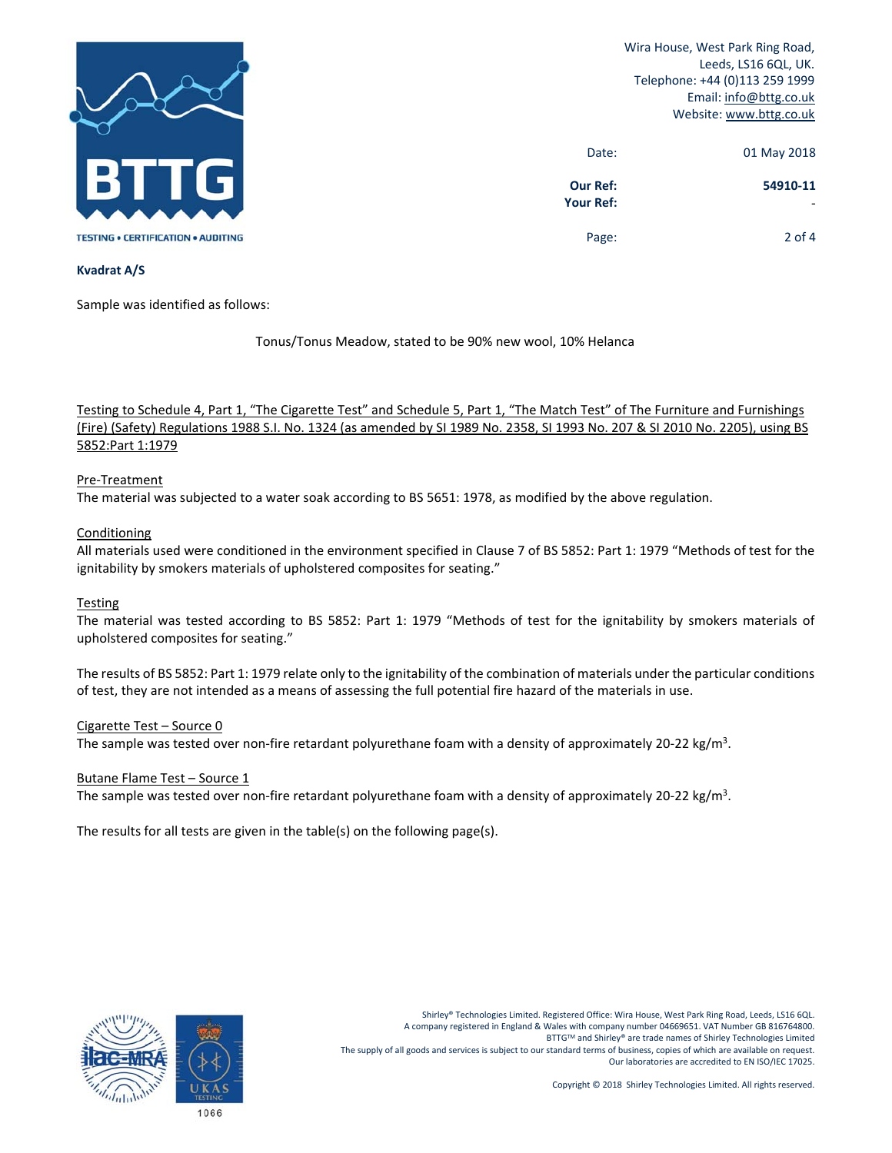

Wira House, West Park Ring Road, Leeds, LS16 6QL, UK. Telephone: +44 (0)113 259 1999 Email: info@bttg.co.uk Website: www.bttg.co.uk

| 01 May 2018 | Date:                               |
|-------------|-------------------------------------|
| 54910-11    | <b>Our Ref:</b><br><b>Your Ref:</b> |
| $2$ of 4    | Page:                               |

# **Kvadrat A/S**

Sample was identified as follows:

Tonus/Tonus Meadow, stated to be 90% new wool, 10% Helanca

Testing to Schedule 4, Part 1, "The Cigarette Test" and Schedule 5, Part 1, "The Match Test" of The Furniture and Furnishings (Fire) (Safety) Regulations 1988 S.I. No. 1324 (as amended by SI 1989 No. 2358, SI 1993 No. 207 & SI 2010 No. 2205), using BS 5852:Part 1:1979

# Pre‐Treatment

The material was subjected to a water soak according to BS 5651: 1978, as modified by the above regulation.

# **Conditioning**

All materials used were conditioned in the environment specified in Clause 7 of BS 5852: Part 1: 1979 "Methods of test for the ignitability by smokers materials of upholstered composites for seating."

# **Testing**

The material was tested according to BS 5852: Part 1: 1979 "Methods of test for the ignitability by smokers materials of upholstered composites for seating."

The results of BS 5852: Part 1: 1979 relate only to the ignitability of the combination of materials under the particular conditions of test, they are not intended as a means of assessing the full potential fire hazard of the materials in use.

#### Cigarette Test – Source 0

The sample was tested over non-fire retardant polyurethane foam with a density of approximately 20-22 kg/m<sup>3</sup>.

#### Butane Flame Test – Source 1

The sample was tested over non-fire retardant polyurethane foam with a density of approximately 20-22 kg/m<sup>3</sup>.

The results for all tests are given in the table(s) on the following page(s).

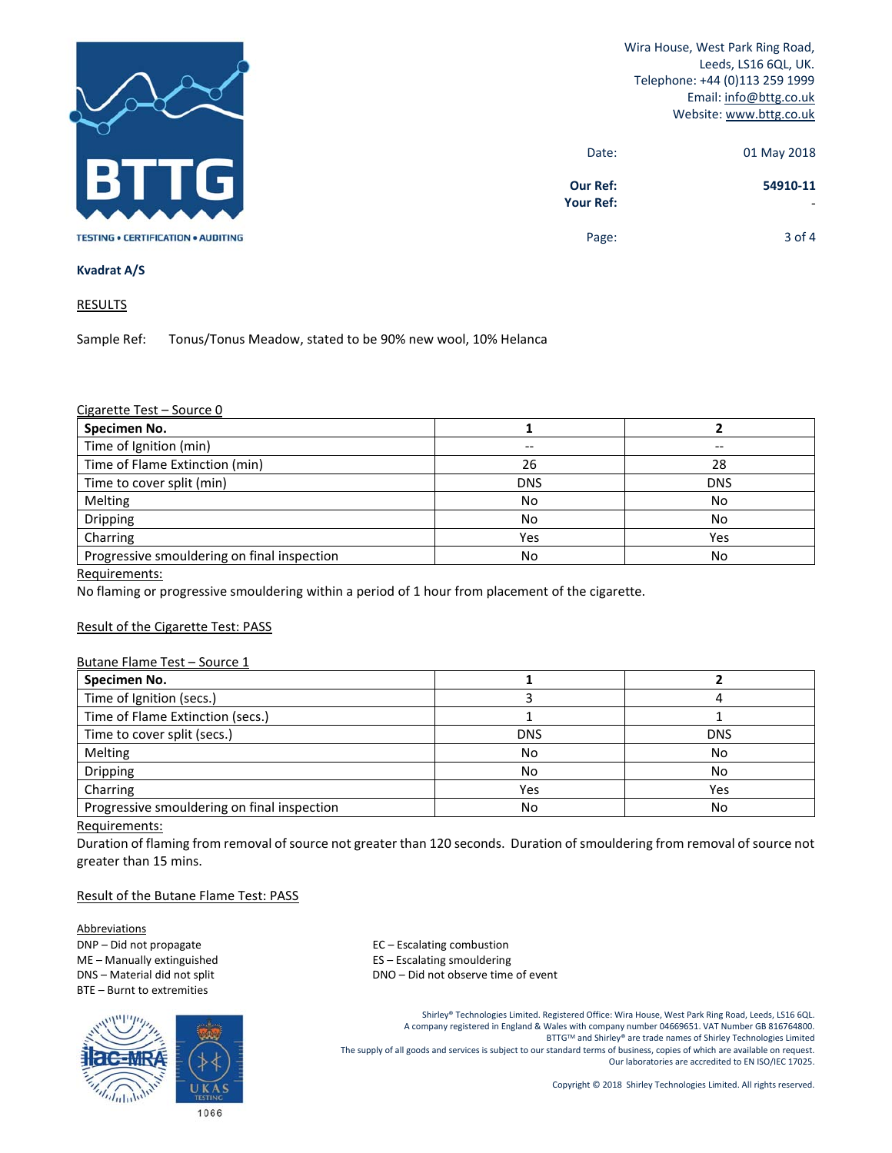

Wira House, West Park Ring Road, Leeds, LS16 6QL, UK. Telephone: +44 (0)113 259 1999 Email: info@bttg.co.uk Website: www.bttg.co.uk

| 01 May 2018 | Date:                               |
|-------------|-------------------------------------|
| 54910-11    | <b>Our Ref:</b><br><b>Your Ref:</b> |
| $3$ of 4    | Page:                               |

### **Kvadrat A/S**

**RESULTS** 

Sample Ref: Tonus/Tonus Meadow, stated to be 90% new wool, 10% Helanca

### Cigarette Test – Source 0

| Specimen No.                                |            |            |
|---------------------------------------------|------------|------------|
| Time of Ignition (min)                      | --         | --         |
| Time of Flame Extinction (min)              | 26         | 28         |
| Time to cover split (min)                   | <b>DNS</b> | <b>DNS</b> |
| Melting                                     | No         | No         |
| Dripping                                    | No         | No         |
| Charring                                    | Yes        | Yes        |
| Progressive smouldering on final inspection | No         | No         |

Requirements:

No flaming or progressive smouldering within a period of 1 hour from placement of the cigarette.

### Result of the Cigarette Test: PASS

### Butane Flame Test – Source 1

| Specimen No.                                |            |            |
|---------------------------------------------|------------|------------|
| Time of Ignition (secs.)                    |            |            |
| Time of Flame Extinction (secs.)            |            |            |
| Time to cover split (secs.)                 | <b>DNS</b> | <b>DNS</b> |
| Melting                                     | No         | No         |
| Dripping                                    | No         | No         |
| Charring                                    | Yes        | Yes        |
| Progressive smouldering on final inspection | No         | No         |

#### Requirements:

Duration of flaming from removal of source not greater than 120 seconds. Duration of smouldering from removal of source not greater than 15 mins.

### Result of the Butane Flame Test: PASS

**Abbreviations** DNP – Did not propagate and the set of the set of the EC – Escalating combustion BTE – Burnt to extremities



ME – Manually extinguished **Source 20 FLS** – Escalating smouldering DNS – Material did not split **DNS** – DNO – Did not observe time of event

> Shirley® Technologies Limited. Registered Office: Wira House, West Park Ring Road, Leeds, LS16 6QL. A company registered in England & Wales with company number 04669651. VAT Number GB 816764800. BTTGTM and Shirley® are trade names of Shirley Technologies Limited The supply of all goods and services is subject to our standard terms of business, copies of which are available on request. Our laboratories are accredited to EN ISO/IEC 17025.